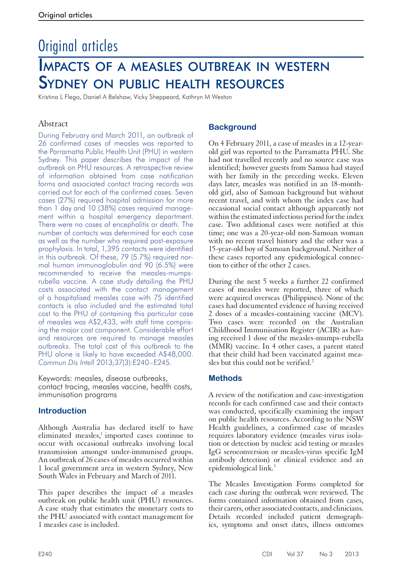# Original articles Impacts of a measles outbreak in western Sydney on public health resources

Kristina L Flego, Daniel A Belshaw, Vicky Sheppeard, Kathryn M Weston

## Abstract

During February and March 2011, an outbreak of 26 confirmed cases of measles was reported to the Parramatta Public Health Unit (PHU) in western Sydney. This paper describes the impact of the outbreak on PHU resources. A retrospective review of information obtained from case notification forms and associated contact tracing records was carried out for each of the confirmed cases. Seven cases (27%) required hospital admission for more than 1 day and 10 (38%) cases required management within a hospital emergency department. There were no cases of encephalitis or death. The number of contacts was determined for each case as well as the number who required post-exposure prophylaxis. In total, 1,395 contacts were identified in this outbreak. Of these, 79 (5.7%) required normal human immunoglobulin and 90 (6.5%) were recommended to receive the measles-mumpsrubella vaccine. A case study detailing the PHU costs associated with the contact management of a hospitalised measles case with 75 identified contacts is also included and the estimated total cost to the PHU of containing this particular case of measles was A\$2,433, with staff time comprising the major cost component. Considerable effort and resources are required to manage measles outbreaks. The total cost of this outbreak to the PHU alone is likely to have exceeded A\$48,000. *Commun Dis Intell* 2013;37(3):E240–E245.

Keywords: measles, disease outbreaks, contact tracing, measles vaccine, health costs, immunisation programs

### **Introduction**

Although Australia has declared itself to have eliminated measles,<sup>1</sup> imported cases continue to occur with occasional outbreaks involving local transmission amongst under-immunised groups. An outbreak of 26 cases of measles occurred within 1 local government area in western Sydney, New South Wales in February and March of 2011.

This paper describes the impact of a measles outbreak on public health unit (PHU) resources. A case study that estimates the monetary costs to the PHU associated with contact management for 1 measles case is included.

## **Background**

On 4 February 2011, a case of measles in a 12-yearold girl was reported to the Parramatta PHU. She had not travelled recently and no source case was identified; however guests from Samoa had stayed with her family in the preceding weeks. Eleven days later, measles was notified in an 18-monthold girl, also of Samoan background but without recent travel, and with whom the index case had occasional social contact although apparently not within the estimated infectious period for the index case. Two additional cases were notified at this time; one was a 20-year-old non-Samoan woman with no recent travel history and the other was a 15-year-old boy of Samoan background. Neither of these cases reported any epidemiological connection to either of the other 2 cases.

During the next 5 weeks a further 22 confirmed cases of measles were reported, three of which were acquired overseas (Philippines). None of the cases had documented evidence of having received 2 doses of a measles-containing vaccine (MCV). Two cases were recorded on the Australian Childhood Immunisation Register (ACIR) as having received 1 dose of the measles-mumps-rubella (MMR) vaccine. In 4 other cases, a parent stated that their child had been vaccinated against measles but this could not be verified. $2$ 

### **Methods**

A review of the notification and case-investigation records for each confirmed case and their contacts was conducted, specifically examining the impact on public health resources. According to the NSW Health guidelines, a confirmed case of measles requires laboratory evidence (measles virus isolation or detection by nucleic acid testing or measles IgG seroconversion or measles-virus specific IgM antibody detection) or clinical evidence and an epidemiological link.<sup>3</sup>

The Measles Investigation Forms completed for each case during the outbreak were reviewed. The forms contained information obtained from cases, their carers, other associated contacts, and clinicians. Details recorded included patient demographics, symptoms and onset dates, illness outcomes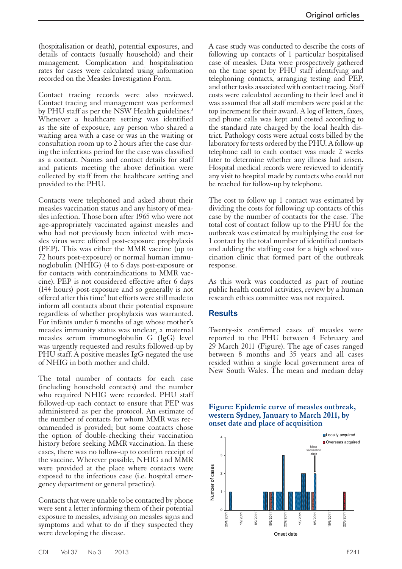(hospitalisation or death), potential exposures, and details of contacts (usually household) and their management. Complication and hospitalisation rates for cases were calculated using information recorded on the Measles Investigation Form.

Contact tracing records were also reviewed. Contact tracing and management was performed by PHU staff as per the NSW Health guidelines.<sup>3</sup> Whenever a healthcare setting was identified as the site of exposure, any person who shared a waiting area with a case or was in the waiting or consultation room up to 2 hours after the case during the infectious period for the case was classified as a contact. Names and contact details for staff and patients meeting the above definition were collected by staff from the healthcare setting and provided to the PHU.

Contacts were telephoned and asked about their measles vaccination status and any history of measles infection. Those born after 1965 who were not age-appropriately vaccinated against measles and who had not previously been infected with measles virus were offered post-exposure prophylaxis (PEP). This was either the MMR vaccine (up to 72 hours post-exposure) or normal human immunoglobulin (NHIG) (4 to 6 days post-exposure or for contacts with contraindications to MMR vaccine). PEP is not considered effective after 6 days (144 hours) post-exposure and so generally is not offered after this time<sup>4</sup> but efforts were still made to inform all contacts about their potential exposure regardless of whether prophylaxis was warranted. For infants under 6 months of age whose mother's measles immunity status was unclear, a maternal measles serum immunoglobulin G (IgG) level was urgently requested and results followed-up by PHU staff. A positive measles IgG negated the use of NHIG in both mother and child.

The total number of contacts for each case (including household contacts) and the number who required NHIG were recorded. PHU staff followed-up each contact to ensure that PEP was administered as per the protocol. An estimate of the number of contacts for whom MMR was recommended is provided; but some contacts chose the option of double-checking their vaccination history before seeking MMR vaccination. In these cases, there was no follow-up to confirm receipt of the vaccine. Wherever possible, NHIG and MMR were provided at the place where contacts were exposed to the infectious case (i.e. hospital emer- gency department or general practice).

Contacts that were unable to be contacted by phone were sent a letter informing them of their potential exposure to measles, advising on measles signs and symptoms and what to do if they suspected they were developing the disease.

A case study was conducted to describe the costs of following up contacts of 1 particular hospitalised case of measles. Data were prospectively gathered on the time spent by PHU staff identifying and telephoning contacts, arranging testing and PEP, and other tasks associated with contact tracing. Staff costs were calculated according to their level and it was assumed that all staff members were paid at the top increment for their award. A log of letters, faxes, and phone calls was kept and costed according to the standard rate charged by the local health district. Pathology costs were actual costs billed by the laboratory for tests ordered by the PHU. A follow-up telephone call to each contact was made 2 weeks later to determine whether any illness had arisen. Hospital medical records were reviewed to identify any visit to hospital made by contacts who could not be reached for follow-up by telephone.

The cost to follow up 1 contact was estimated by dividing the costs for following up contacts of this case by the number of contacts for the case. The total cost of contact follow up to the PHU for the outbreak was estimated by multiplying the cost for 1 contact by the total number of identified contacts and adding the staffing cost for a high school vaccination clinic that formed part of the outbreak response.

As this work was conducted as part of routine public health control activities, review by a human research ethics committee was not required.

#### **Results**

Twenty-six confirmed cases of measles were reported to the PHU between 4 February and 29 March 2011 (Figure). The age of cases ranged between 8 months and 35 years and all cases resided within a single local government area of New South Wales. The mean and median delay

#### **Figure: Epidemic curve of measles outbreak, western Sydney, January to March 2011, by onset date and place of acquisition**

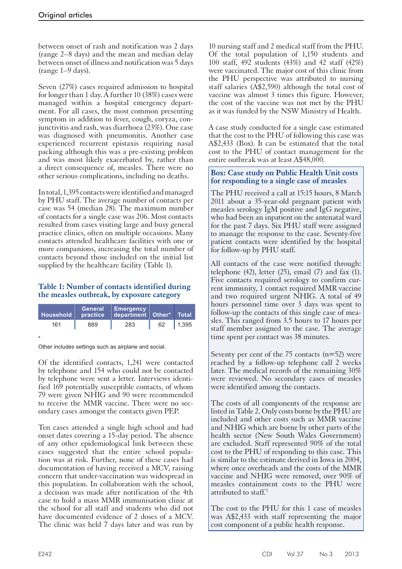between onset of rash and notification was 2 days (range 2–8 days) and the mean and median delay between onset of illness and notification was 5 days (range 1–9 days).

Seven (27%) cases required admission to hospital for longer than 1 day. A further 10 (38%) cases were managed within a hospital emergency department. For all cases, the most common presenting symptom in addition to fever, cough, coryza, conjunctivitis and rash, was diarrhoea (23%). One case was diagnosed with pneumonitis. Another case experienced recurrent epistaxis requiring nasal packing although this was a pre-existing problem and was most likely exacerbated by, rather than a direct consequence of, measles. There were no other serious complications, including no deaths.

In total, 1,395 contacts were identified and managed by PHU staff. The average number of contacts per case was 54 (median 28). The maximum number of contacts for a single case was 206. Most contacts resulted from cases visiting large and busy general practice clinics, often on multiple occasions. Many contacts attended healthcare facilities with one or more companions, increasing the total number of contacts beyond those included on the initial list supplied by the healthcare facility (Table 1).

## **Table 1: Number of contacts identified during the measles outbreak, by exposure category**

| <b>Household</b> | <b>General</b> ,<br>practice | Emergency<br>department   Other*   Total |    |       |
|------------------|------------------------------|------------------------------------------|----|-------|
| 161              | 889                          | 283                                      | 62 | 1,395 |
|                  |                              |                                          |    |       |

\* Other includes settings such as airplane and social.

Of the identified contacts, 1,241 were contacted by telephone and 154 who could not be contacted by telephone were sent a letter. Interviews identi- fied 169 potentially susceptible contacts, of whom 79 were given NHIG and 90 were recommended to receive the MMR vaccine. There were no secondary cases amongst the contacts given PEP.

Ten cases attended a single high school and had onset dates covering a 15-day period. The absence of any other epidemiological link between these cases suggested that the entire school popula- tion was at risk. Further, none of these cases had documentation of having received a MCV, raising concern that under-vaccination was widespread in this population. In collaboration with the school, a decision was made after notification of the 4th case to hold a mass MMR immunisation clinic at the school for all staff and students who did not have documented evidence of 2 doses of a MCV. The clinic was held 7 days later and was run by

10 nursing staff and 2 medical staff from the PHU. Of the total population of 1,150 students and 100 staff, 492 students (43%) and 42 staff (42%) were vaccinated. The major cost of this clinic from the PHU perspective was attributed to nursing staff salaries (A\$2,590) although the total cost of vaccine was almost 3 times this figure. However, the cost of the vaccine was not met by the PHU as it was funded by the NSW Ministry of Health.

A case study conducted for a single case estimated that the cost to the PHU of following this case was A\$2,433 (Box). It can be estimated that the total cost to the PHU of contact management for the entire outbreak was at least A\$48,000.

#### **Box: Case study on Public Health Unit costs for responding to a single case of measles**

The PHU received a call at 15:15 hours, 8 March 2011 about a 35-year-old pregnant patient with measles serology IgM positive and IgG negative, who had been an inpatient on the antenatal ward for the past 7 days. Six PHU staff were assigned to manage the response to the case. Seventy-five patient contacts were identified by the hospital for follow-up by PHU staff.

All contacts of the case were notified through: telephone (42), letter (25), email (7) and fax  $(1)$ . Five contacts required serology to confirm current immunity, 1 contact required MMR vaccine and two required urgent NHIG. A total of 49 hours personnel time over 3 days was spent to follow-up the contacts of this single case of mea-<br>sles. This ranged from 3.5 hours to 17 hours per staff member assigned to the case. The average time spent per contact was 38 minutes.

Seventy per cent of the  $75$  contacts ( $n=52$ ) were reached by a follow-up telephone call 2 weeks later. The medical records of the remaining 30% were reviewed. No secondary cases of measles were identified among the contacts.

The costs of all components of the response are listed in Table 2. Only costs borne by the PHU are included and other costs such as MMR vaccine and NHIG which are borne by other parts of the health sector (New South Wales Government) are excluded. Staff represented 90% of the total cost to the PHU of responding to this case. This is similar to the estimate derived in Iowa in 2004, where once overheads and the costs of the MMR vaccine and NHIG were removed, over 90% of measles containment costs to the PHU were attributed to staff.<sup>5</sup>

The cost to the PHU for this 1 case of measles was A\$2,433 with staff representing the major cost component of a public health response.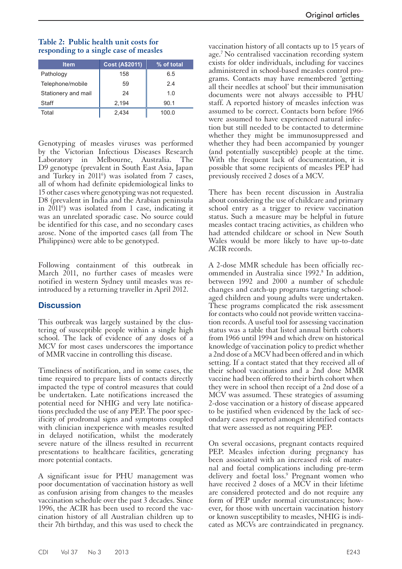| <b>Item</b>         | <b>Cost (A\$2011)</b> | % of total |
|---------------------|-----------------------|------------|
| Pathology           | 158                   | 6.5        |
| Telephone/mobile    | 59                    | 2.4        |
| Stationery and mail | 24                    | 1.0        |
| Staff               | 2,194                 | 90.1       |
| Total               | 2.434                 | 100.0      |

# **Table 2: Public health unit costs for responding to a single case of measles**

Genotyping of measles viruses was performed by the Victorian Infectious Diseases Research Laboratory in Melbourne, Australia. The D9 genotype (prevalent in South East Asia, Japan and Turkey in 2011<sup>6</sup>) was isolated from 7 cases, all of whom had definite epidemiological links to 15 other cases where genotyping was not requested. D8 (prevalent in India and the Arabian peninsula in 20116 ) was isolated from 1 case, indicating it was an unrelated sporadic case. No source could be identified for this case, and no secondary cases arose. None of the imported cases (all from The Philippines) were able to be genotyped.

Following containment of this outbreak in March 2011, no further cases of measles were notified in western Sydney until measles was reintroduced by a returning traveller in April 2012.

### **Discussion**

This outbreak was largely sustained by the clus- tering of susceptible people within a single high school. The lack of evidence of any doses of a MCV for most cases underscores the importance of MMR vaccine in controlling this disease.

Timeliness of notification, and in some cases, the time required to prepare lists of contacts directly impacted the type of control measures that could be undertaken. Late notifications increased the potential need for NHIG and very late notifications precluded the use of any PEP. The poor specificity of prodromal signs and symptoms coupled with clinician inexperience with measles resulted in delayed notification, whilst the moderately severe nature of the illness resulted in recurrent presentations to healthcare facilities, generating more potential contacts.

A significant issue for PHU management was poor documentation of vaccination history as well as confusion arising from changes to the measles vaccination schedule over the past 3 decades. Since 1996, the ACIR has been used to record the vaccination history of all Australian children up to their 7th birthday, and this was used to check the

vaccination history of all contacts up to 15 years of age.7 No centralised vaccination recording system exists for older individuals, including for vaccines administered in school-based measles control programs. Contacts may have remembered 'getting all their needles at school' but their immunisation documents were not always accessible to PHU staff. A reported history of measles infection was assumed to be correct. Contacts born before 1966 were assumed to have experienced natural infection but still needed to be contacted to determine whether they might be immunosuppressed and whether they had been accompanied by younger (and potentially susceptible) people at the time. With the frequent lack of documentation, it is possible that some recipients of measles PEP had previously received 2 doses of a MCV.

There has been recent discussion in Australia about considering the use of childcare and primary school entry as a trigger to review vaccination status. Such a measure may be helpful in future measles contact tracing activities, as children who had attended childcare or school in New South Wales would be more likely to have up-to-date ACIR records.

A 2-dose MMR schedule has been officially recommended in Australia since 1992.<sup>8</sup> In addition, between 1992 and 2000 a number of schedule changes and catch-up programs targeting schoolaged children and young adults were undertaken. These programs complicated the risk assessment for contacts who could not provide written vaccina- tion records. A useful tool for assessing vaccination status was a table that listed annual birth cohorts from 1966 until 1994 and which drew on historical knowledge of vaccination policy to predict whether a 2nd dose of a MCV had been offered and in which setting. If a contact stated that they received all of their school vaccinations and a 2nd dose MMR vaccine had been offered to their birth cohort when they were in school then receipt of a 2nd dose of a MCV was assumed. These strategies of assuming 2-dose vaccination or a history of disease appeared to be justified when evidenced by the lack of secondary cases reported amongst identified contacts that were assessed as not requiring PEP.

On several occasions, pregnant contacts required PEP. Measles infection during pregnancy has been associated with an increased risk of mater- nal and foetal complications including pre-term delivery and foetal loss.<sup>9</sup> Pregnant women who have received 2 doses of a MCV in their lifetime are considered protected and do not require any form of PEP under normal circumstances; however, for those with uncertain vaccination history or known susceptibility to measles, NHIG is indicated as MCVs are contraindicated in pregnancy.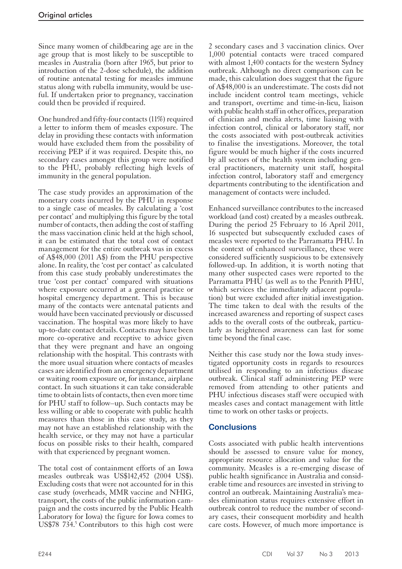Since many women of childbearing age are in the age group that is most likely to be susceptible to measles in Australia (born after 1965, but prior to introduction of the 2-dose schedule), the addition of routine antenatal testing for measles immune status along with rubella immunity, would be useful. If undertaken prior to pregnancy, vaccination could then be provided if required.

One hundred and fifty-four contacts (11%) required a letter to inform them of measles exposure. The delay in providing these contacts with information would have excluded them from the possibility of receiving PEP if it was required. Despite this, no secondary cases amongst this group were notified to the PHU, probably reflecting high levels of immunity in the general population.

The case study provides an approximation of the monetary costs incurred by the PHU in response to a single case of measles. By calculating a 'cost per contact' and multiplying this figure by the total number of contacts, then adding the cost of staffing the mass vaccination clinic held at the high school, it can be estimated that the total cost of contact management for the entire outbreak was in excess of A\$48,000 (2011 A\$) from the PHU perspective alone. In reality, the 'cost per contact' as calculated from this case study probably underestimates the true 'cost per contact' compared with situations where exposure occurred at a general practice or hospital emergency department. This is because many of the contacts were antenatal patients and would have been vaccinated previously or discussed vaccination. The hospital was more likely to have up-to-date contact details. Contacts may have been more co-operative and receptive to advice given that they were pregnant and have an ongoing relationship with the hospital. This contrasts with the more usual situation where contacts of measles cases are identified from an emergency department or waiting room exposure or, for instance, airplane contact. In such situations it can take considerable time to obtain lists of contacts, then even more time for PHU staff to follow–up. Such contacts may be less willing or able to cooperate with public health measures than those in this case study, as they may not have an established relationship with the health service, or they may not have a particular focus on possible risks to their health, compared with that experienced by pregnant women.

The total cost of containment efforts of an Iowa measles outbreak was US\$142,452 (2004 US\$). Excluding costs that were not accounted for in this case study (overheads, MMR vaccine and NHIG, transport, the costs of the public information campaign and the costs incurred by the Public Health Laboratory for Iowa) the figure for Iowa comes to US\$78  $734.5$  Contributors to this high cost were

2 secondary cases and 3 vaccination clinics. Over 1,000 potential contacts were traced compared with almost 1,400 contacts for the western Sydney outbreak. Although no direct comparison can be made, this calculation does suggest that the figure of A\$48,000 is an underestimate. The costs did not include incident control team meetings, vehicle and transport, overtime and time-in-lieu, liaison with public health staff in other offices, preparation of clinician and media alerts, time liaising with infection control, clinical or laboratory staff, nor the costs associated with post-outbreak activities to finalise the investigations. Moreover, the total figure would be much higher if the costs incurred by all sectors of the health system including general practitioners, maternity unit staff, hospital infection control, laboratory staff and emergency departments contributing to the identification and management of contacts were included.

Enhanced surveillance contributes to the increased workload (and cost) created by a measles outbreak. During the period 25 February to 16 April 2011, 16 suspected but subsequently excluded cases of measles were reported to the Parramatta PHU. In the context of enhanced surveillance, these were considered sufficiently suspicious to be extensively followed-up. In addition, it is worth noting that many other suspected cases were reported to the Parramatta PHU (as well as to the Penrith PHU, which services the immediately adjacent population) but were excluded after initial investigation. The time taken to deal with the results of the increased awareness and reporting of suspect cases adds to the overall costs of the outbreak, particu- larly as heightened awareness can last for some time beyond the final case.

Neither this case study nor the Iowa study inves- tigated opportunity costs in regards to resources utilised in responding to an infectious disease outbreak. Clinical staff administering PEP were removed from attending to other patients and PHU infectious diseases staff were occupied with measles cases and contact management with little time to work on other tasks or projects.

### **Conclusions**

Costs associated with public health interventions should be assessed to ensure value for money, appropriate resource allocation and value for the community. Measles is a re-emerging disease of public health significance in Australia and consid- erable time and resources are invested in striving to control an outbreak. Maintaining Australia's measles elimination status requires extensive effort in outbreak control to reduce the number of secondary cases, their consequent morbidity and health care costs. However, of much more importance is